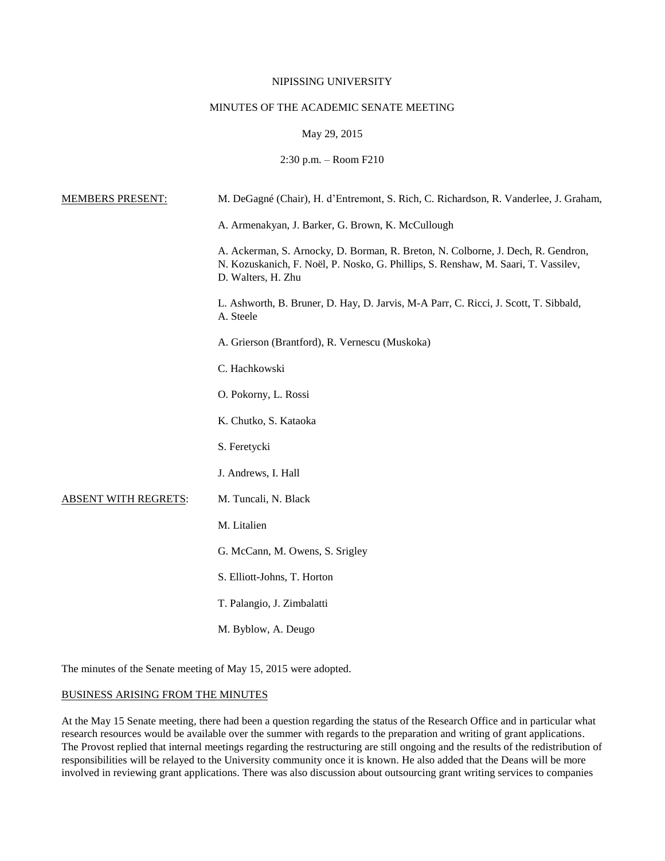### NIPISSING UNIVERSITY

# MINUTES OF THE ACADEMIC SENATE MEETING

# May 29, 2015

# 2:30 p.m. – Room F210

| <b>MEMBERS PRESENT:</b>     | M. DeGagné (Chair), H. d'Entremont, S. Rich, C. Richardson, R. Vanderlee, J. Graham,                                                                                                         |
|-----------------------------|----------------------------------------------------------------------------------------------------------------------------------------------------------------------------------------------|
|                             | A. Armenakyan, J. Barker, G. Brown, K. McCullough                                                                                                                                            |
|                             | A. Ackerman, S. Arnocky, D. Borman, R. Breton, N. Colborne, J. Dech, R. Gendron,<br>N. Kozuskanich, F. Noël, P. Nosko, G. Phillips, S. Renshaw, M. Saari, T. Vassilev,<br>D. Walters, H. Zhu |
|                             | L. Ashworth, B. Bruner, D. Hay, D. Jarvis, M-A Parr, C. Ricci, J. Scott, T. Sibbald,<br>A. Steele                                                                                            |
|                             | A. Grierson (Brantford), R. Vernescu (Muskoka)                                                                                                                                               |
|                             | C. Hachkowski                                                                                                                                                                                |
|                             | O. Pokorny, L. Rossi                                                                                                                                                                         |
|                             | K. Chutko, S. Kataoka                                                                                                                                                                        |
|                             | S. Feretycki                                                                                                                                                                                 |
|                             | J. Andrews, I. Hall                                                                                                                                                                          |
| <b>ABSENT WITH REGRETS:</b> | M. Tuncali, N. Black                                                                                                                                                                         |
|                             | M. Litalien                                                                                                                                                                                  |
|                             | G. McCann, M. Owens, S. Srigley                                                                                                                                                              |
|                             | S. Elliott-Johns, T. Horton                                                                                                                                                                  |
|                             | T. Palangio, J. Zimbalatti                                                                                                                                                                   |
|                             | M. Byblow, A. Deugo                                                                                                                                                                          |

The minutes of the Senate meeting of May 15, 2015 were adopted.

# BUSINESS ARISING FROM THE MINUTES

At the May 15 Senate meeting, there had been a question regarding the status of the Research Office and in particular what research resources would be available over the summer with regards to the preparation and writing of grant applications. The Provost replied that internal meetings regarding the restructuring are still ongoing and the results of the redistribution of responsibilities will be relayed to the University community once it is known. He also added that the Deans will be more involved in reviewing grant applications. There was also discussion about outsourcing grant writing services to companies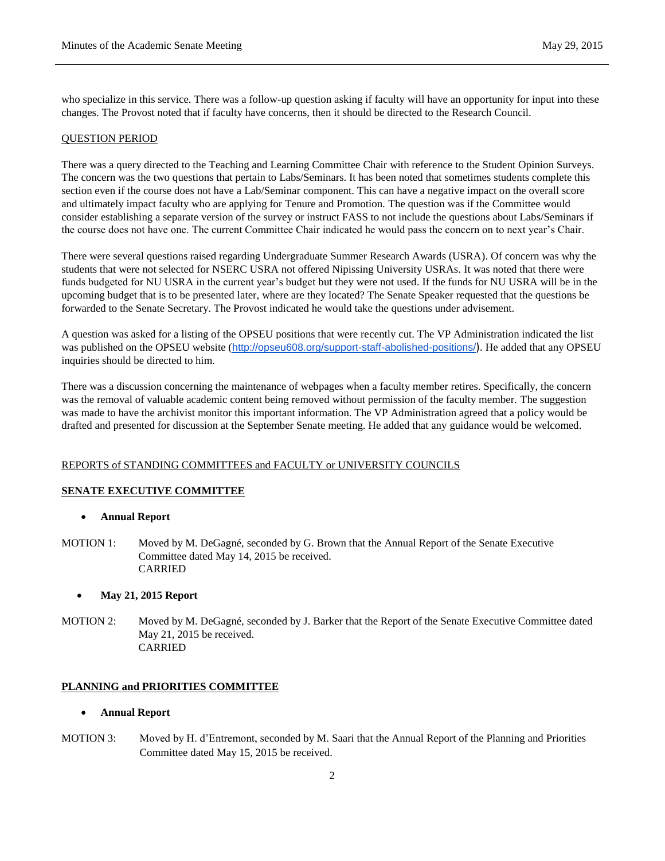who specialize in this service. There was a follow-up question asking if faculty will have an opportunity for input into these changes. The Provost noted that if faculty have concerns, then it should be directed to the Research Council.

#### QUESTION PERIOD

There was a query directed to the Teaching and Learning Committee Chair with reference to the Student Opinion Surveys. The concern was the two questions that pertain to Labs/Seminars. It has been noted that sometimes students complete this section even if the course does not have a Lab/Seminar component. This can have a negative impact on the overall score and ultimately impact faculty who are applying for Tenure and Promotion. The question was if the Committee would consider establishing a separate version of the survey or instruct FASS to not include the questions about Labs/Seminars if the course does not have one. The current Committee Chair indicated he would pass the concern on to next year's Chair.

There were several questions raised regarding Undergraduate Summer Research Awards (USRA). Of concern was why the students that were not selected for NSERC USRA not offered Nipissing University USRAs. It was noted that there were funds budgeted for NU USRA in the current year's budget but they were not used. If the funds for NU USRA will be in the upcoming budget that is to be presented later, where are they located? The Senate Speaker requested that the questions be forwarded to the Senate Secretary. The Provost indicated he would take the questions under advisement.

A question was asked for a listing of the OPSEU positions that were recently cut. The VP Administration indicated the list was published on the OPSEU website (<http://opseu608.org/support-staff-abolished-positions/>). He added that any OPSEU inquiries should be directed to him.

There was a discussion concerning the maintenance of webpages when a faculty member retires. Specifically, the concern was the removal of valuable academic content being removed without permission of the faculty member. The suggestion was made to have the archivist monitor this important information. The VP Administration agreed that a policy would be drafted and presented for discussion at the September Senate meeting. He added that any guidance would be welcomed.

### REPORTS of STANDING COMMITTEES and FACULTY or UNIVERSITY COUNCILS

### **SENATE EXECUTIVE COMMITTEE**

- **Annual Report**
- MOTION 1: Moved by M. DeGagné, seconded by G. Brown that the Annual Report of the Senate Executive Committee dated May 14, 2015 be received. CARRIED

#### **May 21, 2015 Report**

MOTION 2: Moved by M. DeGagné, seconded by J. Barker that the Report of the Senate Executive Committee dated May 21, 2015 be received. CARRIED

## **PLANNING and PRIORITIES COMMITTEE**

### **Annual Report**

MOTION 3: Moved by H. d'Entremont, seconded by M. Saari that the Annual Report of the Planning and Priorities Committee dated May 15, 2015 be received.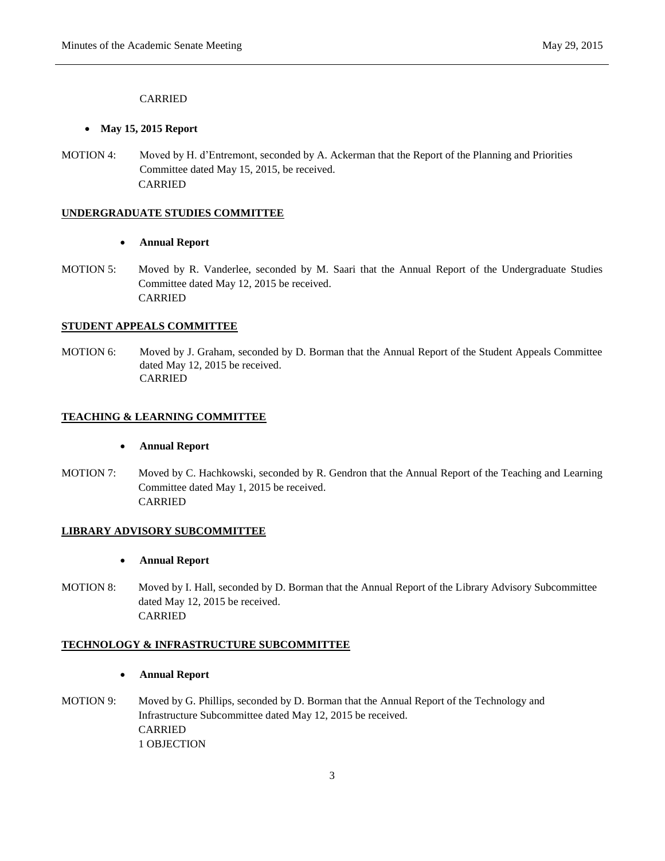# CARRIED

#### **May 15, 2015 Report**

MOTION 4: Moved by H. d'Entremont, seconded by A. Ackerman that the Report of the Planning and Priorities Committee dated May 15, 2015, be received. CARRIED

### **UNDERGRADUATE STUDIES COMMITTEE**

- **Annual Report**
- MOTION 5: Moved by R. Vanderlee, seconded by M. Saari that the Annual Report of the Undergraduate Studies Committee dated May 12, 2015 be received. CARRIED

#### **STUDENT APPEALS COMMITTEE**

MOTION 6: Moved by J. Graham, seconded by D. Borman that the Annual Report of the Student Appeals Committee dated May 12, 2015 be received. CARRIED

#### **TEACHING & LEARNING COMMITTEE**

- **Annual Report**
- MOTION 7: Moved by C. Hachkowski, seconded by R. Gendron that the Annual Report of the Teaching and Learning Committee dated May 1, 2015 be received. CARRIED

#### **LIBRARY ADVISORY SUBCOMMITTEE**

- **Annual Report**
- MOTION 8: Moved by I. Hall, seconded by D. Borman that the Annual Report of the Library Advisory Subcommittee dated May 12, 2015 be received. CARRIED

### **TECHNOLOGY & INFRASTRUCTURE SUBCOMMITTEE**

- **Annual Report**
- MOTION 9: Moved by G. Phillips, seconded by D. Borman that the Annual Report of the Technology and Infrastructure Subcommittee dated May 12, 2015 be received. CARRIED 1 OBJECTION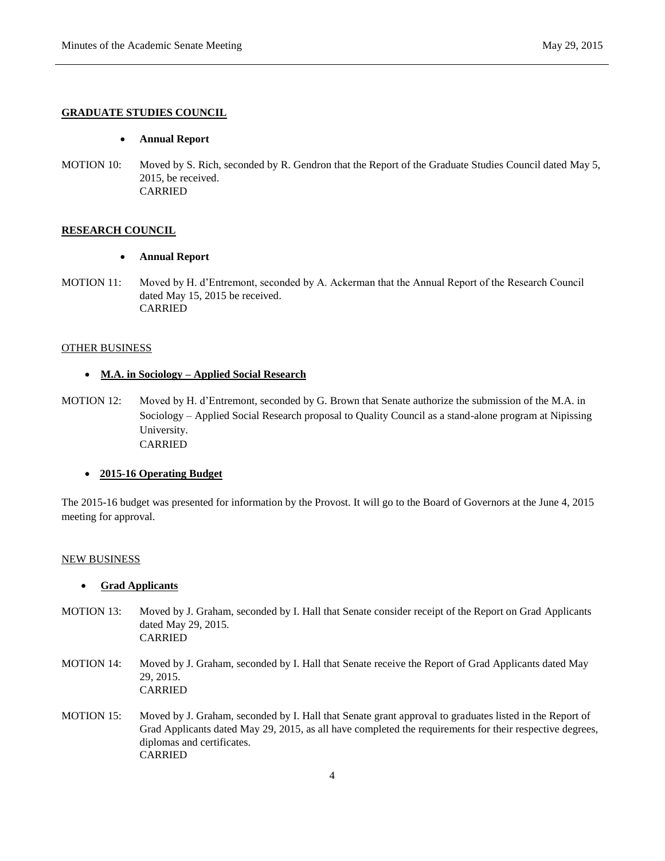# **GRADUATE STUDIES COUNCIL**

#### **Annual Report**

MOTION 10: Moved by S. Rich, seconded by R. Gendron that the Report of the Graduate Studies Council dated May 5, 2015, be received. CARRIED

#### **RESEARCH COUNCIL**

- **Annual Report**
- MOTION 11: Moved by H. d'Entremont, seconded by A. Ackerman that the Annual Report of the Research Council dated May 15, 2015 be received. CARRIED

### OTHER BUSINESS

# **M.A. in Sociology – Applied Social Research**

MOTION 12: Moved by H. d'Entremont, seconded by G. Brown that Senate authorize the submission of the M.A. in Sociology – Applied Social Research proposal to Quality Council as a stand-alone program at Nipissing University. CARRIED

# **2015-16 Operating Budget**

The 2015-16 budget was presented for information by the Provost. It will go to the Board of Governors at the June 4, 2015 meeting for approval.

#### NEW BUSINESS

# **Grad Applicants**

- MOTION 13: Moved by J. Graham, seconded by I. Hall that Senate consider receipt of the Report on Grad Applicants dated May 29, 2015. CARRIED
- MOTION 14: Moved by J. Graham, seconded by I. Hall that Senate receive the Report of Grad Applicants dated May 29, 2015. CARRIED
- MOTION 15: Moved by J. Graham, seconded by I. Hall that Senate grant approval to graduates listed in the Report of Grad Applicants dated May 29, 2015, as all have completed the requirements for their respective degrees, diplomas and certificates. CARRIED